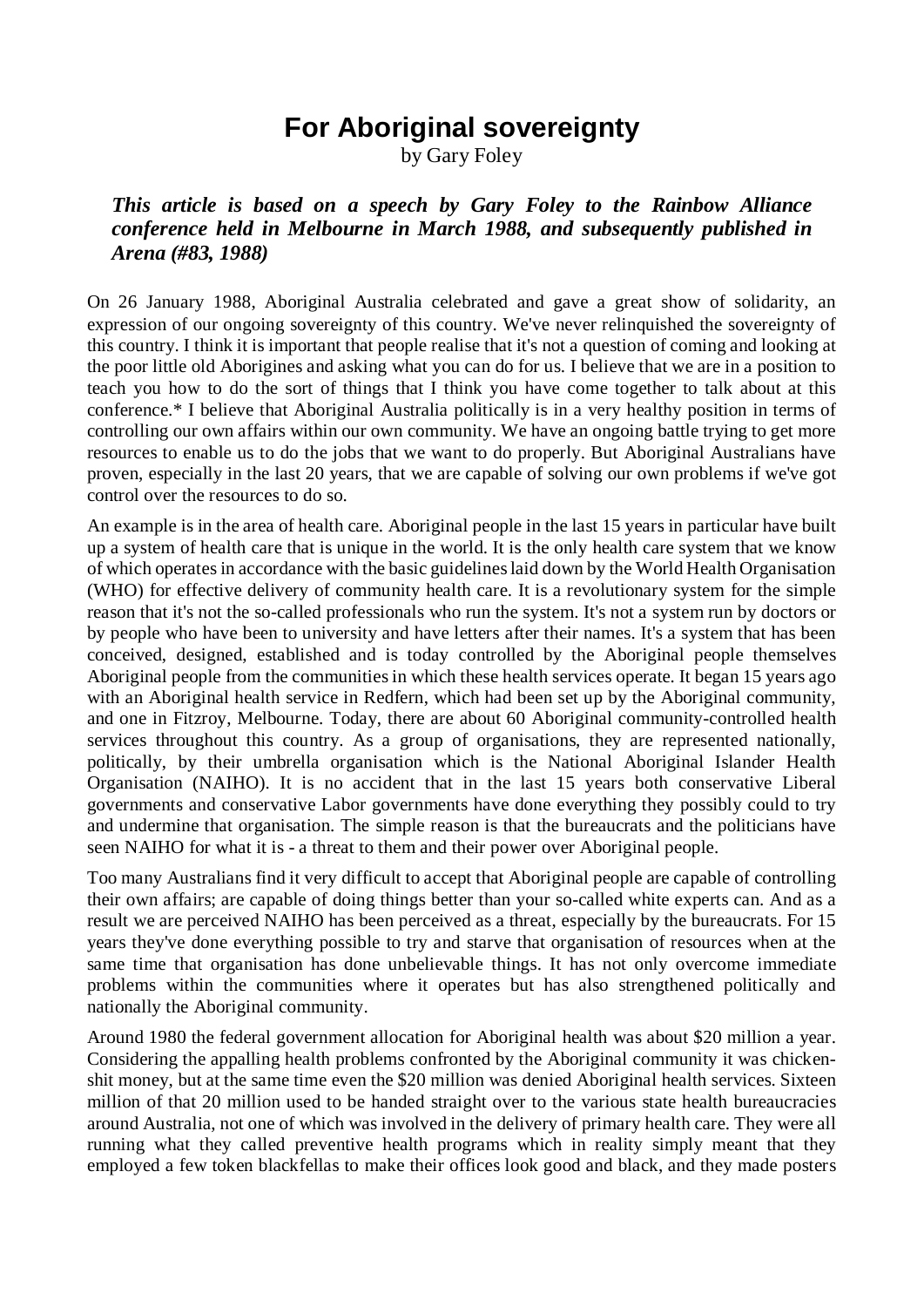## **For Aboriginal sovereignty**

by Gary Foley

## *This article is based on a speech by Gary Foley to the Rainbow Alliance conference held in Melbourne in March 1988, and subsequently published in Arena (#83, 1988)*

On 26 January 1988, Aboriginal Australia celebrated and gave a great show of solidarity, an expression of our ongoing sovereignty of this country. We've never relinquished the sovereignty of this country. I think it is important that people realise that it's not a question of coming and looking at the poor little old Aborigines and asking what you can do for us. I believe that we are in a position to teach you how to do the sort of things that I think you have come together to talk about at this conference.\* I believe that Aboriginal Australia politically is in a very healthy position in terms of controlling our own affairs within our own community. We have an ongoing battle trying to get more resources to enable us to do the jobs that we want to do properly. But Aboriginal Australians have proven, especially in the last 20 years, that we are capable of solving our own problems if we've got control over the resources to do so.

An example is in the area of health care. Aboriginal people in the last 15 years in particular have built up a system of health care that is unique in the world. It is the only health care system that we know of which operates in accordance with the basic guidelines laid down by the World Health Organisation (WHO) for effective delivery of community health care. It is a revolutionary system for the simple reason that it's not the so-called professionals who run the system. It's not a system run by doctors or by people who have been to university and have letters after their names. It's a system that has been conceived, designed, established and is today controlled by the Aboriginal people themselves Aboriginal people from the communities in which these health services operate. It began 15 years ago with an Aboriginal health service in Redfern, which had been set up by the Aboriginal community, and one in Fitzroy, Melbourne. Today, there are about 60 Aboriginal community-controlled health services throughout this country. As a group of organisations, they are represented nationally, politically, by their umbrella organisation which is the National Aboriginal Islander Health Organisation (NAIHO). It is no accident that in the last 15 years both conservative Liberal governments and conservative Labor governments have done everything they possibly could to try and undermine that organisation. The simple reason is that the bureaucrats and the politicians have seen NAIHO for what it is - a threat to them and their power over Aboriginal people.

Too many Australians find it very difficult to accept that Aboriginal people are capable of controlling their own affairs; are capable of doing things better than your so-called white experts can. And as a result we are perceived NAIHO has been perceived as a threat, especially by the bureaucrats. For 15 years they've done everything possible to try and starve that organisation of resources when at the same time that organisation has done unbelievable things. It has not only overcome immediate problems within the communities where it operates but has also strengthened politically and nationally the Aboriginal community.

Around 1980 the federal government allocation for Aboriginal health was about \$20 million a year. Considering the appalling health problems confronted by the Aboriginal community it was chickenshit money, but at the same time even the \$20 million was denied Aboriginal health services. Sixteen million of that 20 million used to be handed straight over to the various state health bureaucracies around Australia, not one of which was involved in the delivery of primary health care. They were all running what they called preventive health programs which in reality simply meant that they employed a few token blackfellas to make their offices look good and black, and they made posters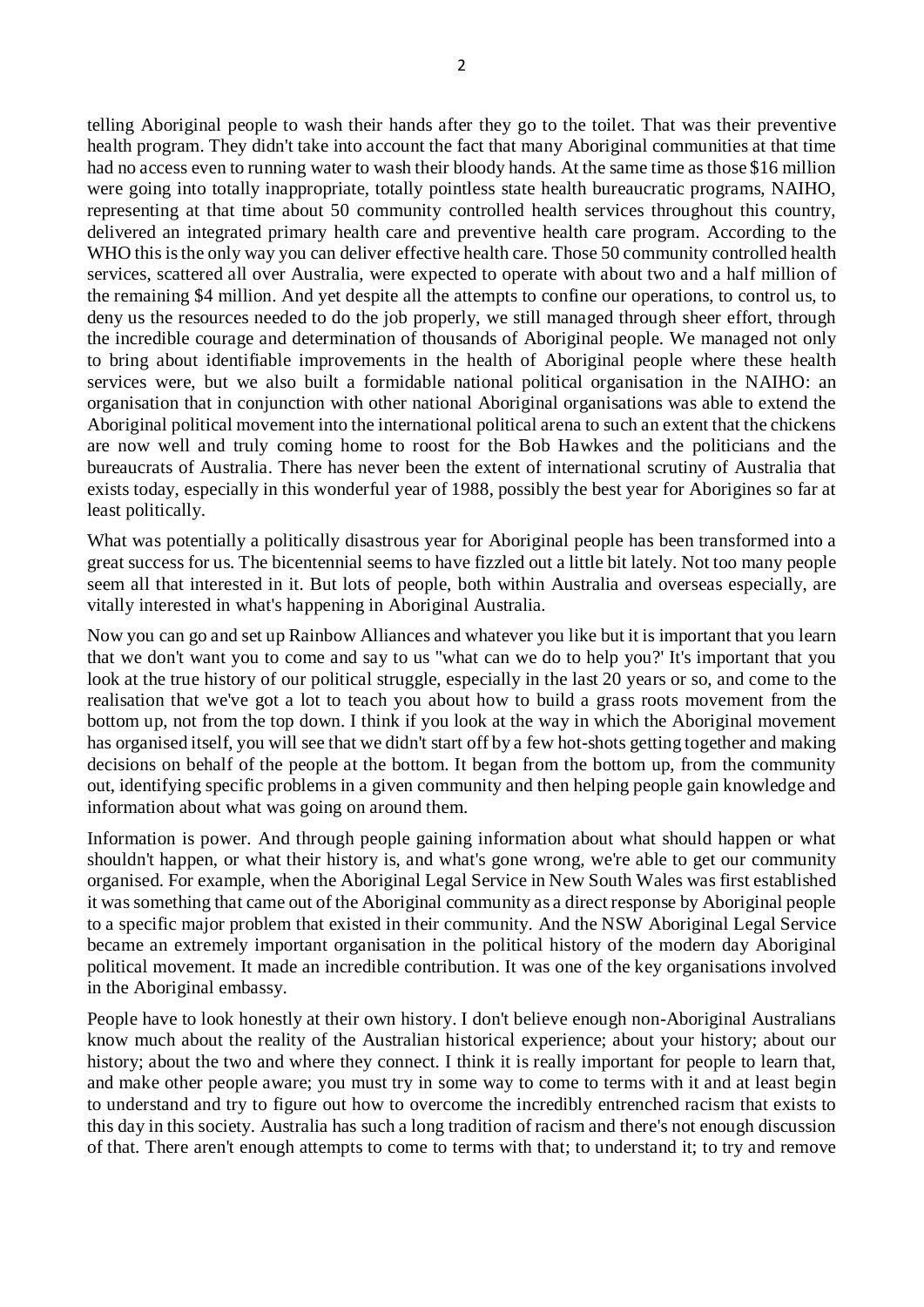telling Aboriginal people to wash their hands after they go to the toilet. That was their preventive health program. They didn't take into account the fact that many Aboriginal communities at that time had no access even to running water to wash their bloody hands. At the same time as those \$16 million were going into totally inappropriate, totally pointless state health bureaucratic programs, NAIHO, representing at that time about 50 community controlled health services throughout this country, delivered an integrated primary health care and preventive health care program. According to the WHO this is the only way you can deliver effective health care. Those 50 community controlled health services, scattered all over Australia, were expected to operate with about two and a half million of the remaining \$4 million. And yet despite all the attempts to confine our operations, to control us, to deny us the resources needed to do the job properly, we still managed through sheer effort, through the incredible courage and determination of thousands of Aboriginal people. We managed not only to bring about identifiable improvements in the health of Aboriginal people where these health services were, but we also built a formidable national political organisation in the NAIHO: an organisation that in conjunction with other national Aboriginal organisations was able to extend the Aboriginal political movement into the international political arena to such an extent that the chickens are now well and truly coming home to roost for the Bob Hawkes and the politicians and the bureaucrats of Australia. There has never been the extent of international scrutiny of Australia that exists today, especially in this wonderful year of 1988, possibly the best year for Aborigines so far at least politically.

What was potentially a politically disastrous year for Aboriginal people has been transformed into a great success for us. The bicentennial seems to have fizzled out a little bit lately. Not too many people seem all that interested in it. But lots of people, both within Australia and overseas especially, are vitally interested in what's happening in Aboriginal Australia.

Now you can go and set up Rainbow Alliances and whatever you like but it is important that you learn that we don't want you to come and say to us ''what can we do to help you?' It's important that you look at the true history of our political struggle, especially in the last 20 years or so, and come to the realisation that we've got a lot to teach you about how to build a grass roots movement from the bottom up, not from the top down. I think if you look at the way in which the Aboriginal movement has organised itself, you will see that we didn't start off by a few hot-shots getting together and making decisions on behalf of the people at the bottom. It began from the bottom up, from the community out, identifying specific problems in a given community and then helping people gain knowledge and information about what was going on around them.

Information is power. And through people gaining information about what should happen or what shouldn't happen, or what their history is, and what's gone wrong, we're able to get our community organised. For example, when the Aboriginal Legal Service in New South Wales was first established it was something that came out of the Aboriginal community as a direct response by Aboriginal people to a specific major problem that existed in their community. And the NSW Aboriginal Legal Service became an extremely important organisation in the political history of the modern day Aboriginal political movement. It made an incredible contribution. It was one of the key organisations involved in the Aboriginal embassy.

People have to look honestly at their own history. I don't believe enough non-Aboriginal Australians know much about the reality of the Australian historical experience; about your history; about our history; about the two and where they connect. I think it is really important for people to learn that, and make other people aware; you must try in some way to come to terms with it and at least begin to understand and try to figure out how to overcome the incredibly entrenched racism that exists to this day in this society. Australia has such a long tradition of racism and there's not enough discussion of that. There aren't enough attempts to come to terms with that; to understand it; to try and remove